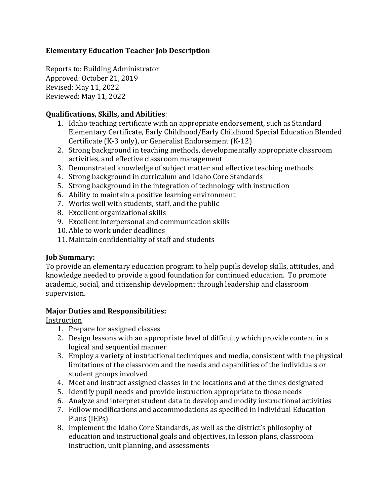## **Elementary Education Teacher Job Description**

Reports to: Building Administrator Approved: October 21, 2019 Revised: May 11, 2022 Reviewed: May 11, 2022

### **Qualifications, Skills, and Abilities**:

- 1. Idaho teaching certificate with an appropriate endorsement, such as Standard Elementary Certificate, Early Childhood/Early Childhood Special Education Blended Certificate  $(K-3 \text{ only})$ , or Generalist Endorsement  $(K-12)$
- 2. Strong background in teaching methods, developmentally appropriate classroom activities, and effective classroom management
- 3. Demonstrated knowledge of subject matter and effective teaching methods
- 4. Strong background in curriculum and Idaho Core Standards
- 5. Strong background in the integration of technology with instruction
- 6. Ability to maintain a positive learning environment
- 7. Works well with students, staff, and the public
- 8. Excellent organizational skills
- 9. Excellent interpersonal and communication skills
- 10. Able to work under deadlines
- 11. Maintain confidentiality of staff and students

## **Job Summary:**

To provide an elementary education program to help pupils develop skills, attitudes, and knowledge needed to provide a good foundation for continued education. To promote academic, social, and citizenship development through leadership and classroom supervision.

## **Major Duties and Responsibilities:**

Instruction

- 1. Prepare for assigned classes
- 2. Design lessons with an appropriate level of difficulty which provide content in a logical and sequential manner
- 3. Employ a variety of instructional techniques and media, consistent with the physical limitations of the classroom and the needs and capabilities of the individuals or student groups involved
- 4. Meet and instruct assigned classes in the locations and at the times designated
- 5. Identify pupil needs and provide instruction appropriate to those needs
- 6. Analyze and interpret student data to develop and modify instructional activities
- 7. Follow modifications and accommodations as specified in Individual Education Plans (IEPs)
- 8. Implement the Idaho Core Standards, as well as the district's philosophy of education and instructional goals and objectives, in lesson plans, classroom instruction, unit planning, and assessments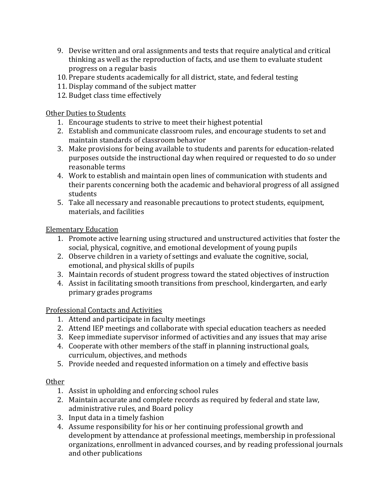- 9. Devise written and oral assignments and tests that require analytical and critical thinking as well as the reproduction of facts, and use them to evaluate student progress on a regular basis
- 10. Prepare students academically for all district, state, and federal testing
- 11. Display command of the subject matter
- 12. Budget class time effectively

Other Duties to Students

- 1. Encourage students to strive to meet their highest potential
- 2. Establish and communicate classroom rules, and encourage students to set and maintain standards of classroom behavior
- 3. Make provisions for being available to students and parents for education-related purposes outside the instructional day when required or requested to do so under reasonable terms
- 4. Work to establish and maintain open lines of communication with students and their parents concerning both the academic and behavioral progress of all assigned students
- 5. Take all necessary and reasonable precautions to protect students, equipment, materials, and facilities

Elementary Education

- 1. Promote active learning using structured and unstructured activities that foster the social, physical, cognitive, and emotional development of young pupils
- 2. Observe children in a variety of settings and evaluate the cognitive, social, emotional, and physical skills of pupils
- 3. Maintain records of student progress toward the stated objectives of instruction
- 4. Assist in facilitating smooth transitions from preschool, kindergarten, and early primary grades programs

Professional Contacts and Activities

- 1. Attend and participate in faculty meetings
- 2. Attend IEP meetings and collaborate with special education teachers as needed
- 3. Keep immediate supervisor informed of activities and any issues that may arise
- 4. Cooperate with other members of the staff in planning instructional goals, curriculum, objectives, and methods
- 5. Provide needed and requested information on a timely and effective basis

# **Other**

- 1. Assist in upholding and enforcing school rules
- 2. Maintain accurate and complete records as required by federal and state law, administrative rules, and Board policy
- 3. Input data in a timely fashion
- 4. Assume responsibility for his or her continuing professional growth and development by attendance at professional meetings, membership in professional organizations, enrollment in advanced courses, and by reading professional journals and other publications